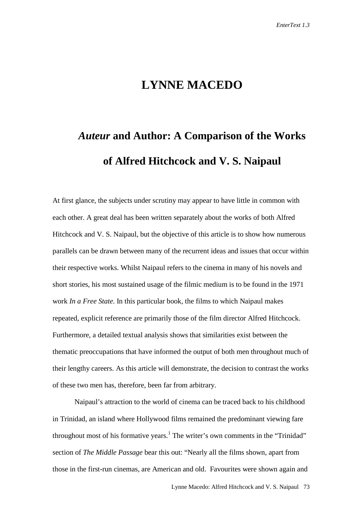## **LYNNE MACEDO**

## *Auteur* **and Author: A Comparison of the Works of Alfred Hitchcock and V. S. Naipaul**

At first glance, the subjects under scrutiny may appear to have little in common with each other. A great deal has been written separately about the works of both Alfred Hitchcock and V. S. Naipaul, but the objective of this article is to show how numerous parallels can be drawn between many of the recurrent ideas and issues that occur within their respective works. Whilst Naipaul refers to the cinema in many of his novels and short stories, his most sustained usage of the filmic medium is to be found in the 1971 work *In a Free State*. In this particular book, the films to which Naipaul makes repeated, explicit reference are primarily those of the film director Alfred Hitchcock. Furthermore, a detailed textual analysis shows that similarities exist between the thematic preoccupations that have informed the output of both men throughout much of their lengthy careers. As this article will demonstrate, the decision to contrast the works of these two men has, therefore, been far from arbitrary.

Naipaul's attraction to the world of cinema can be traced back to his childhood in Trinidad, an island where Hollywood films remained the predominant viewing fare throughout most of his formative years.<sup>1</sup> The writer's own comments in the "Trinidad" section of *The Middle Passage* bear this out: "Nearly all the films shown, apart from those in the first-run cinemas, are American and old. Favourites were shown again and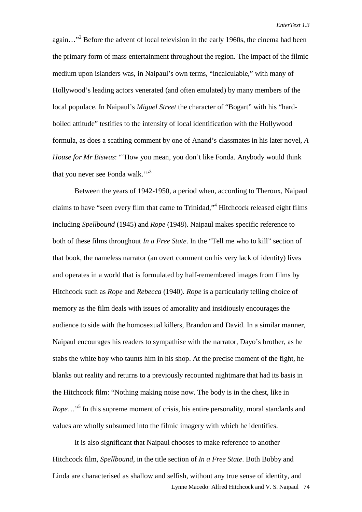again..."<sup>2</sup> Before the advent of local television in the early 1960s, the cinema had been the primary form of mass entertainment throughout the region. The impact of the filmic medium upon islanders was, in Naipaul's own terms, "incalculable," with many of Hollywood's leading actors venerated (and often emulated) by many members of the local populace. In Naipaul's *Miguel Street* the character of "Bogart" with his "hardboiled attitude" testifies to the intensity of local identification with the Hollywood formula, as does a scathing comment by one of Anand's classmates in his later novel, *A House for Mr Biswas*: "'How you mean, you don't like Fonda. Anybody would think that you never see Fonda walk."<sup>3</sup>

Between the years of 1942-1950, a period when, according to Theroux, Naipaul claims to have "seen every film that came to Trinidad,"<sup>4</sup> Hitchcock released eight films including *Spellbound* (1945) and *Rope* (1948). Naipaul makes specific reference to both of these films throughout *In a Free State*. In the "Tell me who to kill" section of that book, the nameless narrator (an overt comment on his very lack of identity) lives and operates in a world that is formulated by half-remembered images from films by Hitchcock such as *Rope* and *Rebecca* (1940). *Rope* is a particularly telling choice of memory as the film deals with issues of amorality and insidiously encourages the audience to side with the homosexual killers, Brandon and David. In a similar manner, Naipaul encourages his readers to sympathise with the narrator, Dayo's brother, as he stabs the white boy who taunts him in his shop. At the precise moment of the fight, he blanks out reality and returns to a previously recounted nightmare that had its basis in the Hitchcock film: "Nothing making noise now. The body is in the chest, like in Rope..."<sup>5</sup> In this supreme moment of crisis, his entire personality, moral standards and values are wholly subsumed into the filmic imagery with which he identifies.

Lynne Macedo: Alfred Hitchcock and V. S. Naipaul 74 It is also significant that Naipaul chooses to make reference to another Hitchcock film, *Spellbound*, in the title section of *In a Free State*. Both Bobby and Linda are characterised as shallow and selfish, without any true sense of identity, and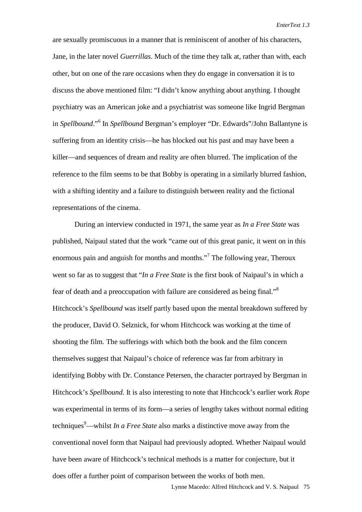are sexually promiscuous in a manner that is reminiscent of another of his characters, Jane, in the later novel *Guerrillas*. Much of the time they talk at, rather than with, each other, but on one of the rare occasions when they do engage in conversation it is to discuss the above mentioned film: "I didn't know anything about anything. I thought psychiatry was an American joke and a psychiatrist was someone like Ingrid Bergman in *Spellbound*."<sup>6</sup> In *Spellbound* Bergman's employer "Dr. Edwards"/John Ballantyne is suffering from an identity crisis—he has blocked out his past and may have been a killer—and sequences of dream and reality are often blurred. The implication of the reference to the film seems to be that Bobby is operating in a similarly blurred fashion, with a shifting identity and a failure to distinguish between reality and the fictional representations of the cinema.

During an interview conducted in 1971, the same year as *In a Free State* was published, Naipaul stated that the work "came out of this great panic, it went on in this enormous pain and anguish for months and months."<sup>7</sup> The following year, Theroux went so far as to suggest that "*In a Free State* is the first book of Naipaul's in which a fear of death and a preoccupation with failure are considered as being final."<sup>8</sup> Hitchcock's *Spellbound* was itself partly based upon the mental breakdown suffered by the producer, David O. Selznick, for whom Hitchcock was working at the time of shooting the film. The sufferings with which both the book and the film concern themselves suggest that Naipaul's choice of reference was far from arbitrary in identifying Bobby with Dr. Constance Petersen, the character portrayed by Bergman in Hitchcock's *Spellbound*. It is also interesting to note that Hitchcock's earlier work *Rope* was experimental in terms of its form—a series of lengthy takes without normal editing techniques<sup>9</sup>—whilst *In a Free State* also marks a distinctive move away from the conventional novel form that Naipaul had previously adopted. Whether Naipaul would have been aware of Hitchcock's technical methods is a matter for conjecture, but it does offer a further point of comparison between the works of both men.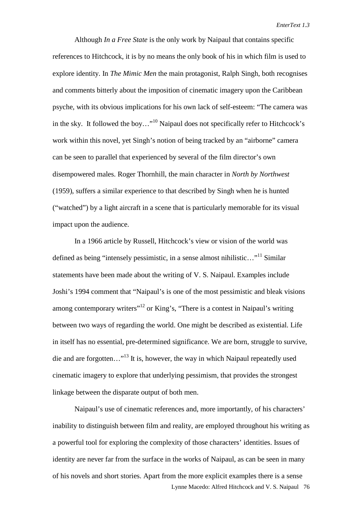Although *In a Free State* is the only work by Naipaul that contains specific references to Hitchcock, it is by no means the only book of his in which film is used to explore identity. In *The Mimic Men* the main protagonist, Ralph Singh, both recognises and comments bitterly about the imposition of cinematic imagery upon the Caribbean psyche, with its obvious implications for his own lack of self-esteem: "The camera was in the sky. It followed the boy…"10 Naipaul does not specifically refer to Hitchcock's work within this novel, yet Singh's notion of being tracked by an "airborne" camera can be seen to parallel that experienced by several of the film director's own disempowered males. Roger Thornhill, the main character in *North by Northwest* (1959), suffers a similar experience to that described by Singh when he is hunted ("watched") by a light aircraft in a scene that is particularly memorable for its visual impact upon the audience.

In a 1966 article by Russell, Hitchcock's view or vision of the world was defined as being "intensely pessimistic, in a sense almost nihilistic..."<sup>11</sup> Similar statements have been made about the writing of V. S. Naipaul. Examples include Joshi's 1994 comment that "Naipaul's is one of the most pessimistic and bleak visions among contemporary writers<sup>"12</sup> or King's, "There is a contest in Naipaul's writing between two ways of regarding the world. One might be described as existential. Life in itself has no essential, pre-determined significance. We are born, struggle to survive, die and are forgotten…"13 It is, however, the way in which Naipaul repeatedly used cinematic imagery to explore that underlying pessimism, that provides the strongest linkage between the disparate output of both men.

Lynne Macedo: Alfred Hitchcock and V. S. Naipaul 76 Naipaul's use of cinematic references and, more importantly, of his characters' inability to distinguish between film and reality, are employed throughout his writing as a powerful tool for exploring the complexity of those characters' identities. Issues of identity are never far from the surface in the works of Naipaul, as can be seen in many of his novels and short stories. Apart from the more explicit examples there is a sense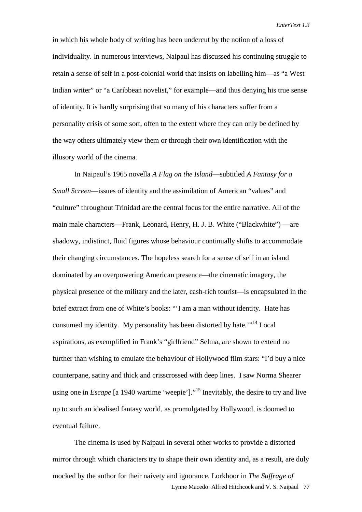in which his whole body of writing has been undercut by the notion of a loss of individuality. In numerous interviews, Naipaul has discussed his continuing struggle to retain a sense of self in a post-colonial world that insists on labelling him—as "a West Indian writer" or "a Caribbean novelist," for example—and thus denying his true sense of identity. It is hardly surprising that so many of his characters suffer from a personality crisis of some sort, often to the extent where they can only be defined by the way others ultimately view them or through their own identification with the illusory world of the cinema.

In Naipaul's 1965 novella *A Flag on the Island*—subtitled *A Fantasy for a Small Screen*—issues of identity and the assimilation of American "values" and "culture" throughout Trinidad are the central focus for the entire narrative. All of the main male characters—Frank, Leonard, Henry, H. J. B. White ("Blackwhite") —are shadowy, indistinct, fluid figures whose behaviour continually shifts to accommodate their changing circumstances. The hopeless search for a sense of self in an island dominated by an overpowering American presence—the cinematic imagery, the physical presence of the military and the later, cash-rich tourist—is encapsulated in the brief extract from one of White's books: "'I am a man without identity. Hate has consumed my identity. My personality has been distorted by hate.'"14 Local aspirations, as exemplified in Frank's "girlfriend" Selma, are shown to extend no further than wishing to emulate the behaviour of Hollywood film stars: "I'd buy a nice counterpane, satiny and thick and crisscrossed with deep lines. I saw Norma Shearer using one in *Escape* [a 1940 wartime 'weepie']."<sup>15</sup> Inevitably, the desire to try and live up to such an idealised fantasy world, as promulgated by Hollywood, is doomed to eventual failure.

Lynne Macedo: Alfred Hitchcock and V. S. Naipaul 77 The cinema is used by Naipaul in several other works to provide a distorted mirror through which characters try to shape their own identity and, as a result, are duly mocked by the author for their naivety and ignorance. Lorkhoor in *The Suffrage of*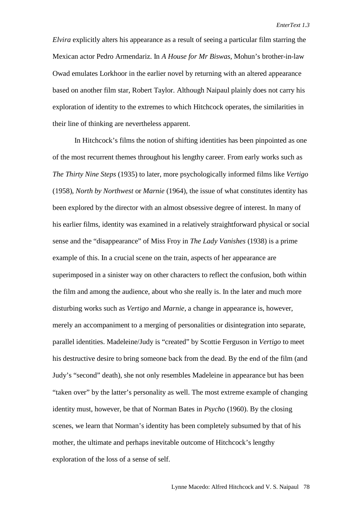*Elvira* explicitly alters his appearance as a result of seeing a particular film starring the Mexican actor Pedro Armendariz. In *A House for Mr Biswas*, Mohun's brother-in-law Owad emulates Lorkhoor in the earlier novel by returning with an altered appearance based on another film star, Robert Taylor. Although Naipaul plainly does not carry his exploration of identity to the extremes to which Hitchcock operates, the similarities in their line of thinking are nevertheless apparent.

In Hitchcock's films the notion of shifting identities has been pinpointed as one of the most recurrent themes throughout his lengthy career. From early works such as *The Thirty Nine Steps* (1935) to later, more psychologically informed films like *Vertigo* (1958), *North by Northwest* or *Marnie* (1964), the issue of what constitutes identity has been explored by the director with an almost obsessive degree of interest. In many of his earlier films, identity was examined in a relatively straightforward physical or social sense and the "disappearance" of Miss Froy in *The Lady Vanishes* (1938) is a prime example of this. In a crucial scene on the train, aspects of her appearance are superimposed in a sinister way on other characters to reflect the confusion, both within the film and among the audience, about who she really is. In the later and much more disturbing works such as *Vertigo* and *Marnie*, a change in appearance is, however, merely an accompaniment to a merging of personalities or disintegration into separate, parallel identities. Madeleine/Judy is "created" by Scottie Ferguson in *Vertigo* to meet his destructive desire to bring someone back from the dead. By the end of the film (and Judy's "second" death), she not only resembles Madeleine in appearance but has been "taken over" by the latter's personality as well. The most extreme example of changing identity must, however, be that of Norman Bates in *Psycho* (1960). By the closing scenes, we learn that Norman's identity has been completely subsumed by that of his mother, the ultimate and perhaps inevitable outcome of Hitchcock's lengthy exploration of the loss of a sense of self.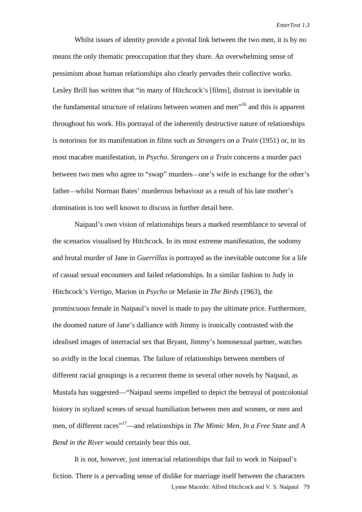Whilst issues of identity provide a pivotal link between the two men, it is by no means the only thematic preoccupation that they share. An overwhelming sense of pessimism about human relationships also clearly pervades their collective works. Lesley Brill has written that "in many of Hitchcock's [films], distrust is inevitable in the fundamental structure of relations between women and men"16 and this is apparent throughout his work. His portrayal of the inherently destructive nature of relationships is notorious for its manifestation in films such as *Strangers on a Train* (1951) or, in its most macabre manifestation, in *Psycho*. *Strangers on a Train* concerns a murder pact between two men who agree to "swap" murders—one's wife in exchange for the other's father—whilst Norman Bates' murderous behaviour as a result of his late mother's domination is too well known to discuss in further detail here.

Naipaul's own vision of relationships bears a marked resemblance to several of the scenarios visualised by Hitchcock. In its most extreme manifestation, the sodomy and brutal murder of Jane in *Guerrillas* is portrayed as the inevitable outcome for a life of casual sexual encounters and failed relationships. In a similar fashion to Judy in Hitchcock's *Vertigo*, Marion in *Psycho* or Melanie in *The Birds* (1963), the promiscuous female in Naipaul's novel is made to pay the ultimate price. Furthermore, the doomed nature of Jane's dalliance with Jimmy is ironically contrasted with the idealised images of interracial sex that Bryant, Jimmy's homosexual partner, watches so avidly in the local cinemas. The failure of relationships between members of different racial groupings is a recurrent theme in several other novels by Naipaul, as Mustafa has suggested—"Naipaul seems impelled to depict the betrayal of postcolonial history in stylized scenes of sexual humiliation between men and women, or men and men, of different races"17—and relationships in *The Mimic Men*, *In a Free State* and *A Bend in the River* would certainly bear this out.

Lynne Macedo: Alfred Hitchcock and V. S. Naipaul 79 It is not, however, just interracial relationships that fail to work in Naipaul's fiction. There is a pervading sense of dislike for marriage itself between the characters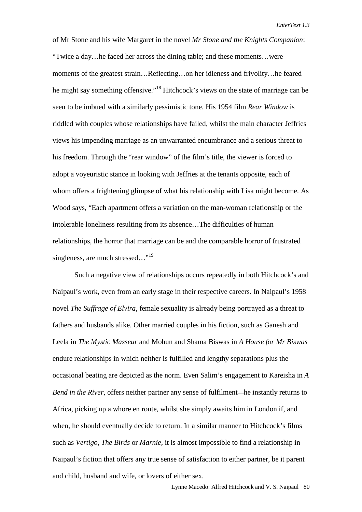*EnterText 1.3*

of Mr Stone and his wife Margaret in the novel *Mr Stone and the Knights Companion*: "Twice a day…he faced her across the dining table; and these moments…were moments of the greatest strain…Reflecting…on her idleness and frivolity…he feared he might say something offensive."<sup>18</sup> Hitchcock's views on the state of marriage can be seen to be imbued with a similarly pessimistic tone. His 1954 film *Rear Window* is riddled with couples whose relationships have failed, whilst the main character Jeffries views his impending marriage as an unwarranted encumbrance and a serious threat to his freedom. Through the "rear window" of the film's title, the viewer is forced to adopt a voyeuristic stance in looking with Jeffries at the tenants opposite, each of whom offers a frightening glimpse of what his relationship with Lisa might become. As Wood says, "Each apartment offers a variation on the man-woman relationship or the intolerable loneliness resulting from its absence…The difficulties of human relationships, the horror that marriage can be and the comparable horror of frustrated singleness, are much stressed..."<sup>19</sup>

Such a negative view of relationships occurs repeatedly in both Hitchcock's and Naipaul's work, even from an early stage in their respective careers. In Naipaul's 1958 novel *The Suffrage of Elvira*, female sexuality is already being portrayed as a threat to fathers and husbands alike. Other married couples in his fiction, such as Ganesh and Leela in *The Mystic Masseur* and Mohun and Shama Biswas in *A House for Mr Biswas* endure relationships in which neither is fulfilled and lengthy separations plus the occasional beating are depicted as the norm. Even Salim's engagement to Kareisha in *A Bend in the River*, offers neither partner any sense of fulfilment—he instantly returns to Africa, picking up a whore en route, whilst she simply awaits him in London if, and when, he should eventually decide to return. In a similar manner to Hitchcock's films such as *Vertigo*, *The Birds* or *Marnie,* it is almost impossible to find a relationship in Naipaul's fiction that offers any true sense of satisfaction to either partner, be it parent and child, husband and wife, or lovers of either sex.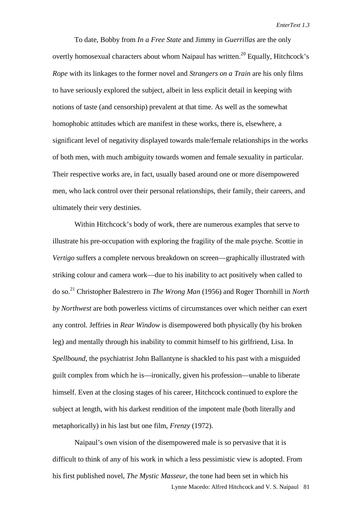To date, Bobby from *In a Free State* and Jimmy in *Guerrillas* are the only overtly homosexual characters about whom Naipaul has written.<sup>20</sup> Equally, Hitchcock's *Rope* with its linkages to the former novel and *Strangers on a Train* are his only films to have seriously explored the subject, albeit in less explicit detail in keeping with notions of taste (and censorship) prevalent at that time. As well as the somewhat homophobic attitudes which are manifest in these works, there is, elsewhere, a significant level of negativity displayed towards male/female relationships in the works of both men, with much ambiguity towards women and female sexuality in particular. Their respective works are, in fact, usually based around one or more disempowered men, who lack control over their personal relationships, their family, their careers, and ultimately their very destinies.

Within Hitchcock's body of work, there are numerous examples that serve to illustrate his pre-occupation with exploring the fragility of the male psyche. Scottie in *Vertigo* suffers a complete nervous breakdown on screen—graphically illustrated with striking colour and camera work—due to his inability to act positively when called to do so.<sup>21</sup> Christopher Balestrero in *The Wrong Man* (1956) and Roger Thornhill in *North by Northwest* are both powerless victims of circumstances over which neither can exert any control. Jeffries in *Rear Window* is disempowered both physically (by his broken leg) and mentally through his inability to commit himself to his girlfriend, Lisa. In *Spellbound*, the psychiatrist John Ballantyne is shackled to his past with a misguided guilt complex from which he is—ironically, given his profession—unable to liberate himself. Even at the closing stages of his career, Hitchcock continued to explore the subject at length, with his darkest rendition of the impotent male (both literally and metaphorically) in his last but one film, *Frenzy* (1972).

Lynne Macedo: Alfred Hitchcock and V. S. Naipaul 81 Naipaul's own vision of the disempowered male is so pervasive that it is difficult to think of any of his work in which a less pessimistic view is adopted. From his first published novel, *The Mystic Masseur*, the tone had been set in which his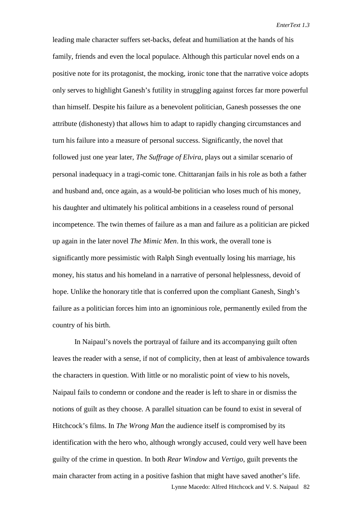leading male character suffers set-backs, defeat and humiliation at the hands of his family, friends and even the local populace. Although this particular novel ends on a positive note for its protagonist, the mocking, ironic tone that the narrative voice adopts only serves to highlight Ganesh's futility in struggling against forces far more powerful than himself. Despite his failure as a benevolent politician, Ganesh possesses the one attribute (dishonesty) that allows him to adapt to rapidly changing circumstances and turn his failure into a measure of personal success. Significantly, the novel that followed just one year later, *The Suffrage of Elvira*, plays out a similar scenario of personal inadequacy in a tragi-comic tone. Chittaranjan fails in his role as both a father and husband and, once again, as a would-be politician who loses much of his money, his daughter and ultimately his political ambitions in a ceaseless round of personal incompetence. The twin themes of failure as a man and failure as a politician are picked up again in the later novel *The Mimic Men*. In this work, the overall tone is significantly more pessimistic with Ralph Singh eventually losing his marriage, his money, his status and his homeland in a narrative of personal helplessness, devoid of hope. Unlike the honorary title that is conferred upon the compliant Ganesh, Singh's failure as a politician forces him into an ignominious role, permanently exiled from the country of his birth.

Lynne Macedo: Alfred Hitchcock and V. S. Naipaul 82 In Naipaul's novels the portrayal of failure and its accompanying guilt often leaves the reader with a sense, if not of complicity, then at least of ambivalence towards the characters in question. With little or no moralistic point of view to his novels, Naipaul fails to condemn or condone and the reader is left to share in or dismiss the notions of guilt as they choose. A parallel situation can be found to exist in several of Hitchcock's films. In *The Wrong Man* the audience itself is compromised by its identification with the hero who, although wrongly accused, could very well have been guilty of the crime in question. In both *Rear Window* and *Vertigo*, guilt prevents the main character from acting in a positive fashion that might have saved another's life.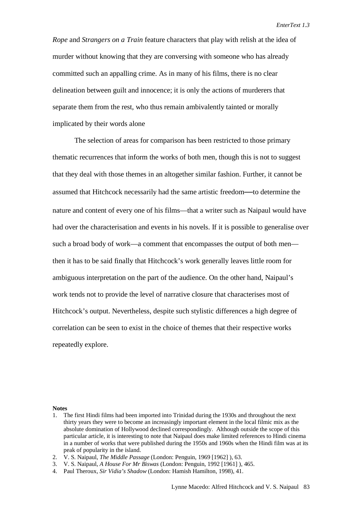*Rope* and *Strangers on a Train* feature characters that play with relish at the idea of murder without knowing that they are conversing with someone who has already committed such an appalling crime. As in many of his films, there is no clear delineation between guilt and innocence; it is only the actions of murderers that separate them from the rest, who thus remain ambivalently tainted or morally implicated by their words alone

The selection of areas for comparison has been restricted to those primary thematic recurrences that inform the works of both men, though this is not to suggest that they deal with those themes in an altogether similar fashion. Further, it cannot be assumed that Hitchcock necessarily had the same artistic freedom**—**to determine the nature and content of every one of his films—that a writer such as Naipaul would have had over the characterisation and events in his novels. If it is possible to generalise over such a broad body of work—a comment that encompasses the output of both men then it has to be said finally that Hitchcock's work generally leaves little room for ambiguous interpretation on the part of the audience. On the other hand, Naipaul's work tends not to provide the level of narrative closure that characterises most of Hitchcock's output. Nevertheless, despite such stylistic differences a high degree of correlation can be seen to exist in the choice of themes that their respective works repeatedly explore.

## **Notes**

<sup>1.</sup> The first Hindi films had been imported into Trinidad during the 1930s and throughout the next thirty years they were to become an increasingly important element in the local filmic mix as the absolute domination of Hollywood declined correspondingly. Although outside the scope of this particular article, it is interesting to note that Naipaul does make limited references to Hindi cinema in a number of works that were published during the 1950s and 1960s when the Hindi film was at its peak of popularity in the island.

<sup>2.</sup> V. S. Naipaul, *The Middle Passage* (London: Penguin, 1969 [1962] ), 63.

<sup>3.</sup> V. S. Naipaul, *A House For Mr Biswas* (London: Penguin, 1992 [1961] ), 465.

<sup>4.</sup> Paul Theroux, *Sir Vidia's Shadow* (London: Hamish Hamilton, 1998), 41.